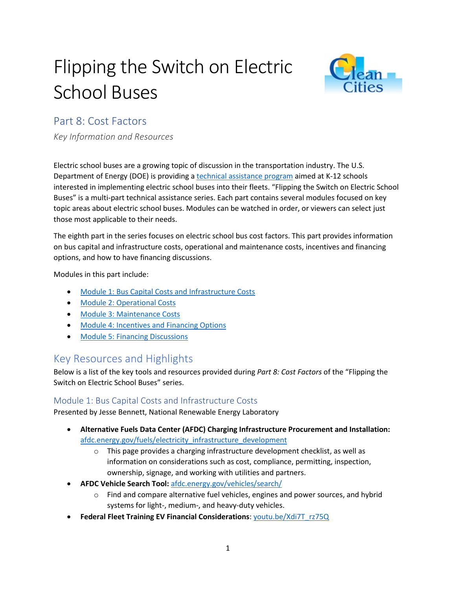# Flipping the Switch on Electric School Buses



## Part 8: Cost Factors

*Key Information and Resources*

Electric school buses are a growing topic of discussion in the transportation industry. The U.S. Department of Energy (DOE) is providing a [technical assistance program](https://afdc.energy.gov/vehicles/electric_school_buses.html) aimed at K-12 schools interested in implementing electric school buses into their fleets. "Flipping the Switch on Electric School Buses" is a multi-part technical assistance series. Each part contains several modules focused on key topic areas about electric school buses. Modules can be watched in order, or viewers can select just those most applicable to their needs.

The eighth part in the series focuses on electric school bus cost factors. This part provides information on bus capital and infrastructure costs, operational and maintenance costs, incentives and financing options, and how to have financing discussions.

Modules in this part include:

- [Module 1: Bus Capital Costs and Infrastructure Costs](https://pfs.nrel.gov/main.html?download&weblink=468abef7a4575017c79720abbb1724a8&realfilename=ESB$20Part$208$20Module$201.mp4)
- [Module 2: Operational Costs](https://pfs.nrel.gov/main.html?download&weblink=e81195bcf9098e6eb8c0b42f7f1055c1&realfilename=ESB$20Part8-Module$202.mp4)
- [Module 3: Maintenance Costs](https://pfs.nrel.gov/main.html?download&weblink=d4c205cfc6ba73b085610b4dea4b1a2d&realfilename=ESB$20Part8-Module$203.mp4)
- [Module 4: Incentives and Financing Options](https://pfs.nrel.gov/main.html?download&weblink=885221c1197ab1aa96e96fc9de13a44d&realfilename=ESB$20Part$208$20Module$204.mp4)
- [Module 5: Financing Discussions](https://pfs.nrel.gov/main.html?download&weblink=0ad7d2e450927a0252f10ce155072b86&realfilename=ESB$20Part$208$20Module$205.mp4)

### Key Resources and Highlights

Below is a list of the key tools and resources provided during *Part 8: Cost Factors* of the "Flipping the Switch on Electric School Buses" series.

#### Module 1: Bus Capital Costs and Infrastructure Costs

Presented by Jesse Bennett, National Renewable Energy Laboratory

- **Alternative Fuels Data Center (AFDC) Charging Infrastructure Procurement and Installation:** [afdc.energy.gov/fuels/electricity\\_infrastructure\\_development](https://afdc.energy.gov/fuels/electricity_infrastructure_development.html) 
	- o This page provides a charging infrastructure development checklist, as well as information on considerations such as cost, compliance, permitting, inspection, ownership, signage, and working with utilities and partners.
- **AFDC Vehicle Search Tool:** [afdc.energy.gov/vehicles/search/](https://afdc.energy.gov/vehicles/search/) 
	- o Find and compare alternative fuel vehicles, engines and power sources, and hybrid systems for light-, medium-, and heavy-duty vehicles.
- **Federal Fleet Training EV Financial Considerations**[: youtu.be/Xdi7T\\_rz75Q](https://youtu.be/Xdi7T_rz75Q)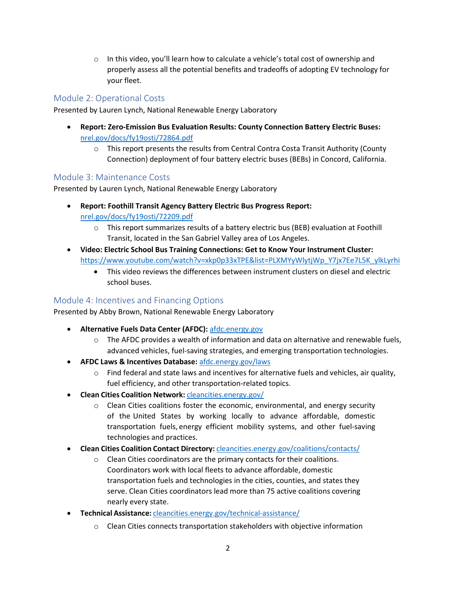o In this video, you'll learn how to calculate a vehicle's total cost of ownership and properly assess all the potential benefits and tradeoffs of adopting EV technology for your fleet.

#### Module 2: Operational Costs

Presented by Lauren Lynch, National Renewable Energy Laboratory

- **Report: Zero-Emission Bus Evaluation Results: County Connection Battery Electric Buses:** [nrel.gov/docs/fy19osti/72864.pdf](https://www.nrel.gov/docs/fy19osti/72864.pdf) 
	- $\circ$  This report presents the results from Central Contra Costa Transit Authority (County Connection) deployment of four battery electric buses (BEBs) in Concord, California.

#### Module 3: Maintenance Costs

Presented by Lauren Lynch, National Renewable Energy Laboratory

- **Report: Foothill Transit Agency Battery Electric Bus Progress Report:** [nrel.gov/docs/fy19osti/72209.pdf](https://www.nrel.gov/docs/fy19osti/72209.pdf) 
	- $\circ$  This report summarizes results of a battery electric bus (BEB) evaluation at Foothill Transit, located in the San Gabriel Valley area of Los Angeles.
- **Video: Electric School Bus Training Connections: Get to Know Your Instrument Cluster:** [https://www.youtube.com/watch?v=xkp0p33xTPE&list=PLXMYyWlytjWp\\_Y7jx7Ee7L5K\\_ylkLyrhi](https://www.youtube.com/watch?v=xkp0p33xTPE&list=PLXMYyWlytjWp_Y7jx7Ee7L5K_ylkLyrhi)
	- This video reviews the differences between instrument clusters on diesel and electric school buses.

#### Module 4: Incentives and Financing Options

Presented by Abby Brown, National Renewable Energy Laboratory

- **Alternative Fuels Data Center (AFDC):** [afdc.energy.gov](http://www.afdc.energy.gov/) 
	- $\circ$  The AFDC provides a wealth of information and data on alternative and renewable fuels, advanced vehicles, fuel-saving strategies, and emerging transportation technologies.
- **AFDC Laws & Incentives Database:** [afdc.energy.gov/laws](https://afdc.energy.gov/laws) 
	- o Find federal and state laws and incentives for alternative fuels and vehicles, air quality, fuel efficiency, and other transportation-related topics.
- **Clean Cities Coalition Network:** [cleancities.energy.gov/](https://cleancities.energy.gov/)
	- $\circ$  Clean Cities coalitions foster the economic, environmental, and energy security of the United States by working locally to advance affordable, domestic transportation fuels, energy efficient mobility systems, and other fuel-saving technologies and practices.
- **Clean Cities Coalition Contact Directory:** [cleancities.energy.gov/coalitions/contacts/](https://cleancities.energy.gov/coalitions/contacts)
	- o Clean Cities coordinators are the primary contacts for their coalitions. Coordinators work with local fleets to advance affordable, domestic transportation fuels and technologies in the cities, counties, and states they serve. Clean Cities coordinators lead more than 75 active coalitions covering nearly every state.
- **Technical Assistance:** [cleancities.energy.gov/technical-assistance/](https://cleancities.energy.gov/technical-assistance)
	- $\circ$  Clean Cities connects transportation stakeholders with objective information